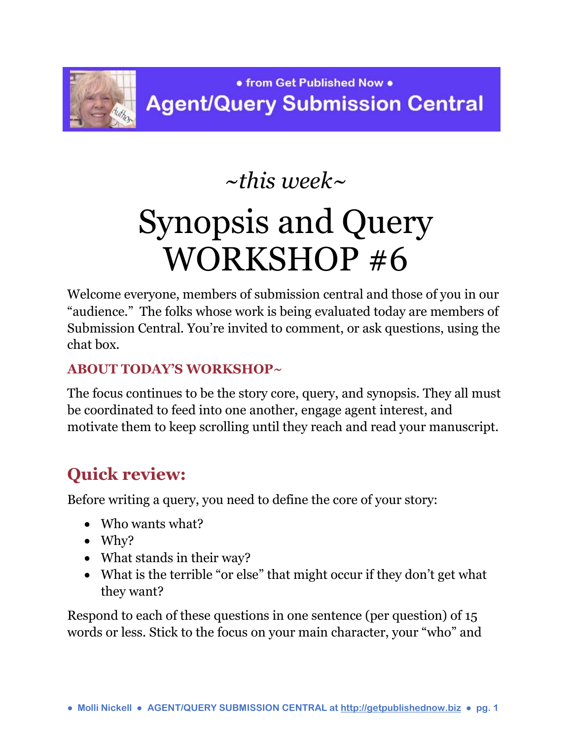

## *~this week~*

# Synopsis and Query WORKSHOP #6

Welcome everyone, members of submission central and those of you in our "audience." The folks whose work is being evaluated today are members of Submission Central. You're invited to comment, or ask questions, using the chat box.

#### **ABOUT TODAY'S WORKSHOP~**

The focus continues to be the story core, query, and synopsis. They all must be coordinated to feed into one another, engage agent interest, and motivate them to keep scrolling until they reach and read your manuscript.

### **Quick review:**

Before writing a query, you need to define the core of your story:

- Who wants what?
- $\bullet$  Why?
- What stands in their way?
- What is the terrible "or else" that might occur if they don't get what they want?

Respond to each of these questions in one sentence (per question) of 15 words or less. Stick to the focus on your main character, your "who" and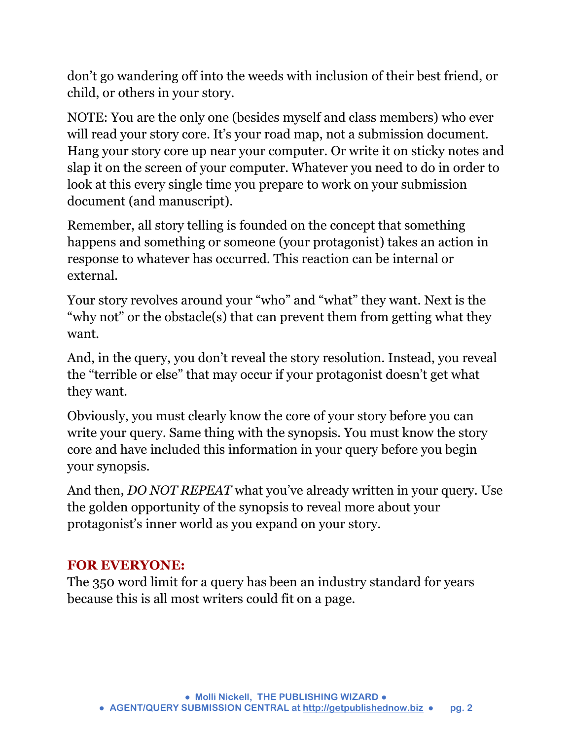don't go wandering off into the weeds with inclusion of their best friend, or child, or others in your story.

NOTE: You are the only one (besides myself and class members) who ever will read your story core. It's your road map, not a submission document. Hang your story core up near your computer. Or write it on sticky notes and slap it on the screen of your computer. Whatever you need to do in order to look at this every single time you prepare to work on your submission document (and manuscript).

Remember, all story telling is founded on the concept that something happens and something or someone (your protagonist) takes an action in response to whatever has occurred. This reaction can be internal or external.

Your story revolves around your "who" and "what" they want. Next is the "why not" or the obstacle(s) that can prevent them from getting what they want.

And, in the query, you don't reveal the story resolution. Instead, you reveal the "terrible or else" that may occur if your protagonist doesn't get what they want.

Obviously, you must clearly know the core of your story before you can write your query. Same thing with the synopsis. You must know the story core and have included this information in your query before you begin your synopsis.

And then, *DO NOT REPEAT* what you've already written in your query. Use the golden opportunity of the synopsis to reveal more about your protagonist's inner world as you expand on your story.

#### **FOR EVERYONE:**

The 350 word limit for a query has been an industry standard for years because this is all most writers could fit on a page.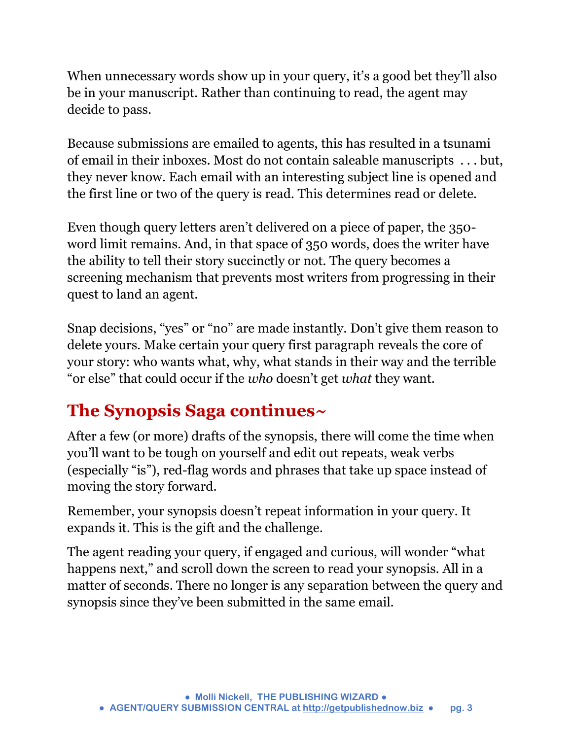When unnecessary words show up in your query, it's a good bet they'll also be in your manuscript. Rather than continuing to read, the agent may decide to pass.

Because submissions are emailed to agents, this has resulted in a tsunami of email in their inboxes. Most do not contain saleable manuscripts . . . but, they never know. Each email with an interesting subject line is opened and the first line or two of the query is read. This determines read or delete.

Even though query letters aren't delivered on a piece of paper, the 350 word limit remains. And, in that space of 350 words, does the writer have the ability to tell their story succinctly or not. The query becomes a screening mechanism that prevents most writers from progressing in their quest to land an agent.

Snap decisions, "yes" or "no" are made instantly. Don't give them reason to delete yours. Make certain your query first paragraph reveals the core of your story: who wants what, why, what stands in their way and the terrible "or else" that could occur if the *who* doesn't get *what* they want.

### **The Synopsis Saga continues~**

After a few (or more) drafts of the synopsis, there will come the time when you'll want to be tough on yourself and edit out repeats, weak verbs (especially "is"), red-flag words and phrases that take up space instead of moving the story forward.

Remember, your synopsis doesn't repeat information in your query. It expands it. This is the gift and the challenge.

The agent reading your query, if engaged and curious, will wonder "what happens next," and scroll down the screen to read your synopsis. All in a matter of seconds. There no longer is any separation between the query and synopsis since they've been submitted in the same email.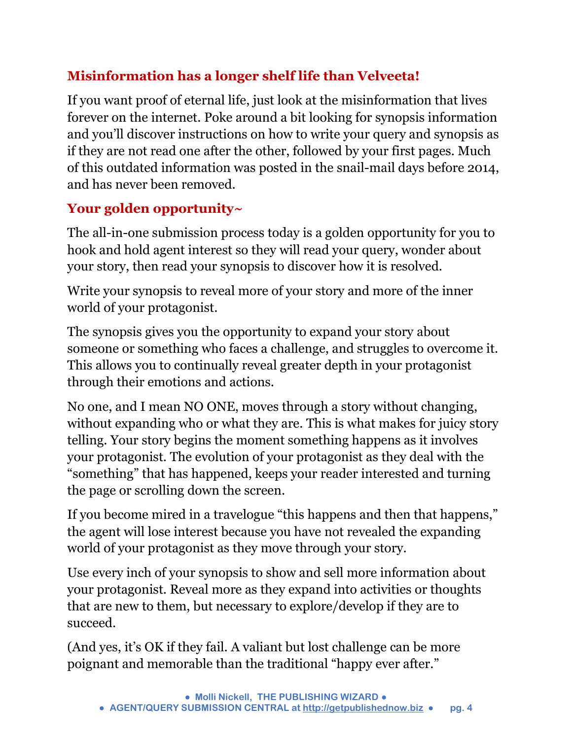#### **Misinformation has a longer shelf life than Velveeta!**

If you want proof of eternal life, just look at the misinformation that lives forever on the internet. Poke around a bit looking for synopsis information and you'll discover instructions on how to write your query and synopsis as if they are not read one after the other, followed by your first pages. Much of this outdated information was posted in the snail-mail days before 2014, and has never been removed.

#### **Your golden opportunity~**

The all-in-one submission process today is a golden opportunity for you to hook and hold agent interest so they will read your query, wonder about your story, then read your synopsis to discover how it is resolved.

Write your synopsis to reveal more of your story and more of the inner world of your protagonist.

The synopsis gives you the opportunity to expand your story about someone or something who faces a challenge, and struggles to overcome it. This allows you to continually reveal greater depth in your protagonist through their emotions and actions.

No one, and I mean NO ONE, moves through a story without changing, without expanding who or what they are. This is what makes for juicy story telling. Your story begins the moment something happens as it involves your protagonist. The evolution of your protagonist as they deal with the "something" that has happened, keeps your reader interested and turning the page or scrolling down the screen.

If you become mired in a travelogue "this happens and then that happens," the agent will lose interest because you have not revealed the expanding world of your protagonist as they move through your story.

Use every inch of your synopsis to show and sell more information about your protagonist. Reveal more as they expand into activities or thoughts that are new to them, but necessary to explore/develop if they are to succeed.

(And yes, it's OK if they fail. A valiant but lost challenge can be more poignant and memorable than the traditional "happy ever after."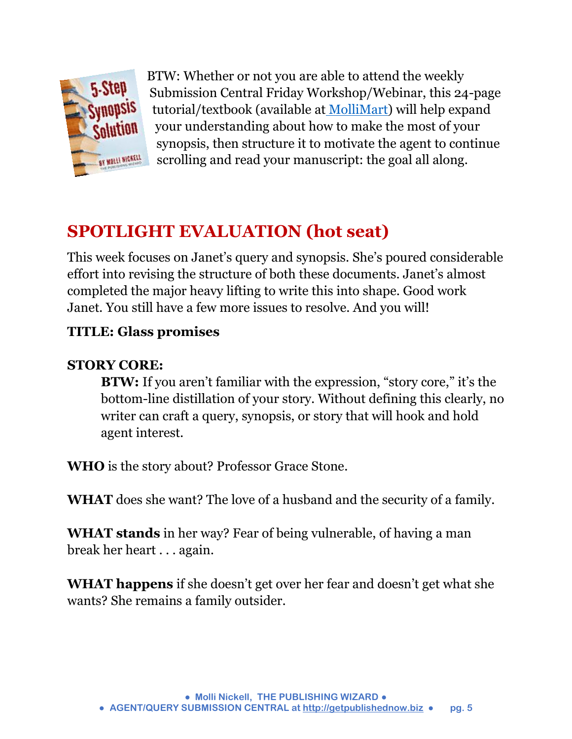

[B](http://www.getpublishednow.biz/mollimart.html)TW: Whether or not you are able to attend the weekly Submission Central Friday Workshop/Webinar, this 24-page tutorial/textbook (available at [MolliMart\)](http://www.getpublishednow.biz/mollimart.html) will help expand your understanding about how to make the most of your synopsis, then structure it to motivate the agent to continue scrolling and read your manuscript: the goal all along.

### **SPOTLIGHT EVALUATION (hot seat)**

This week focuses on Janet's query and synopsis. She's poured considerable effort into revising the structure of both these documents. Janet's almost completed the major heavy lifting to write this into shape. Good work Janet. You still have a few more issues to resolve. And you will!

#### **TITLE: Glass promises**

#### **STORY CORE:**

**BTW:** If you aren't familiar with the expression, "story core," it's the bottom-line distillation of your story. Without defining this clearly, no writer can craft a query, synopsis, or story that will hook and hold agent interest.

**WHO** is the story about? Professor Grace Stone.

**WHAT** does she want? The love of a husband and the security of a family.

**WHAT stands** in her way? Fear of being vulnerable, of having a man break her heart . . . again.

**WHAT happens** if she doesn't get over her fear and doesn't get what she wants? She remains a family outsider.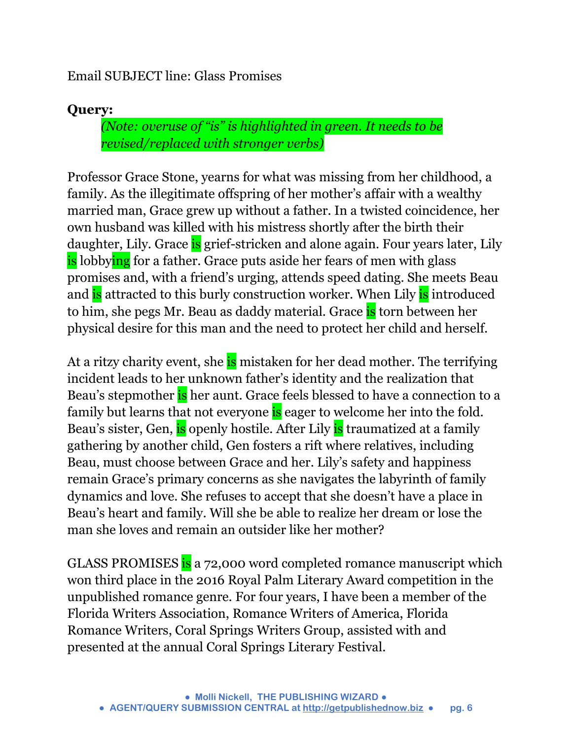#### Email SUBJECT line: Glass Promises

#### **Query:**

*(Note: overuse of "is" is highlighted in green. It needs to be revised/replaced with stronger verbs)*

Professor Grace Stone, yearns for what was missing from her childhood, a family. As the illegitimate offspring of her mother's affair with a wealthy married man, Grace grew up without a father. In a twisted coincidence, her own husband was killed with his mistress shortly after the birth their daughter, Lily. Grace is grief-stricken and alone again. Four years later, Lily is lobbying for a father. Grace puts aside her fears of men with glass promises and, with a friend's urging, attends speed dating. She meets Beau and is attracted to this burly construction worker. When Lily is introduced to him, she pegs Mr. Beau as daddy material. Grace is torn between her physical desire for this man and the need to protect her child and herself.

At a ritzy charity event, she is mistaken for her dead mother. The terrifying incident leads to her unknown father's identity and the realization that Beau's stepmother is her aunt. Grace feels blessed to have a connection to a family but learns that not everyone is eager to welcome her into the fold. Beau's sister, Gen, is openly hostile. After Lily is traumatized at a family gathering by another child, Gen fosters a rift where relatives, including Beau, must choose between Grace and her. Lily's safety and happiness remain Grace's primary concerns as she navigates the labyrinth of family dynamics and love. She refuses to accept that she doesn't have a place in Beau's heart and family. Will she be able to realize her dream or lose the man she loves and remain an outsider like her mother?

GLASS PROMISES is a 72,000 word completed romance manuscript which won third place in the 2016 Royal Palm Literary Award competition in the unpublished romance genre. For four years, I have been a member of the Florida Writers Association, Romance Writers of America, Florida Romance Writers, Coral Springs Writers Group, assisted with and presented at the annual Coral Springs Literary Festival.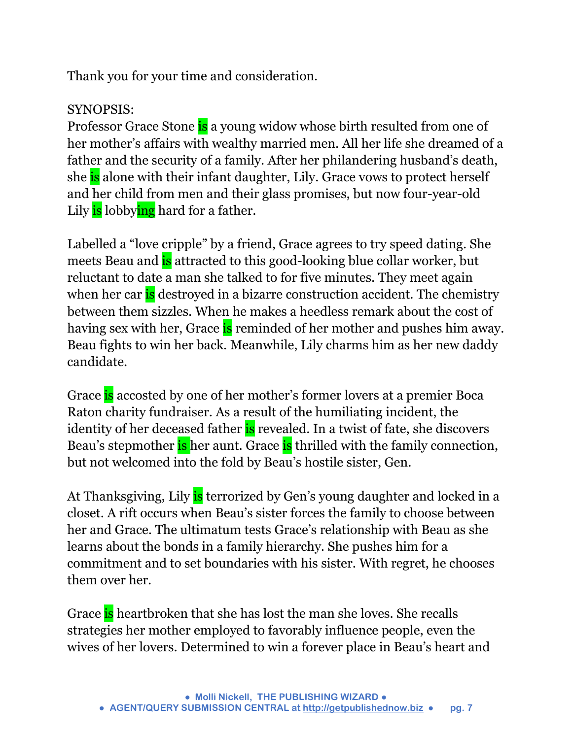Thank you for your time and consideration.

#### SYNOPSIS:

Professor Grace Stone is a young widow whose birth resulted from one of her mother's affairs with wealthy married men. All her life she dreamed of a father and the security of a family. After her philandering husband's death, she is alone with their infant daughter, Lily. Grace vows to protect herself and her child from men and their glass promises, but now four-year-old Lily is lobbying hard for a father.

Labelled a "love cripple" by a friend, Grace agrees to try speed dating. She meets Beau and **is** attracted to this good-looking blue collar worker, but reluctant to date a man she talked to for five minutes. They meet again when her car is destroyed in a bizarre construction accident. The chemistry between them sizzles. When he makes a heedless remark about the cost of having sex with her, Grace is reminded of her mother and pushes him away. Beau fights to win her back. Meanwhile, Lily charms him as her new daddy candidate.

Grace is accosted by one of her mother's former lovers at a premier Boca Raton charity fundraiser. As a result of the humiliating incident, the identity of her deceased father is revealed. In a twist of fate, she discovers Beau's stepmother is her aunt. Grace is thrilled with the family connection, but not welcomed into the fold by Beau's hostile sister, Gen.

At Thanksgiving, Lily is terrorized by Gen's young daughter and locked in a closet. A rift occurs when Beau's sister forces the family to choose between her and Grace. The ultimatum tests Grace's relationship with Beau as she learns about the bonds in a family hierarchy. She pushes him for a commitment and to set boundaries with his sister. With regret, he chooses them over her.

Grace is heartbroken that she has lost the man she loves. She recalls strategies her mother employed to favorably influence people, even the wives of her lovers. Determined to win a forever place in Beau's heart and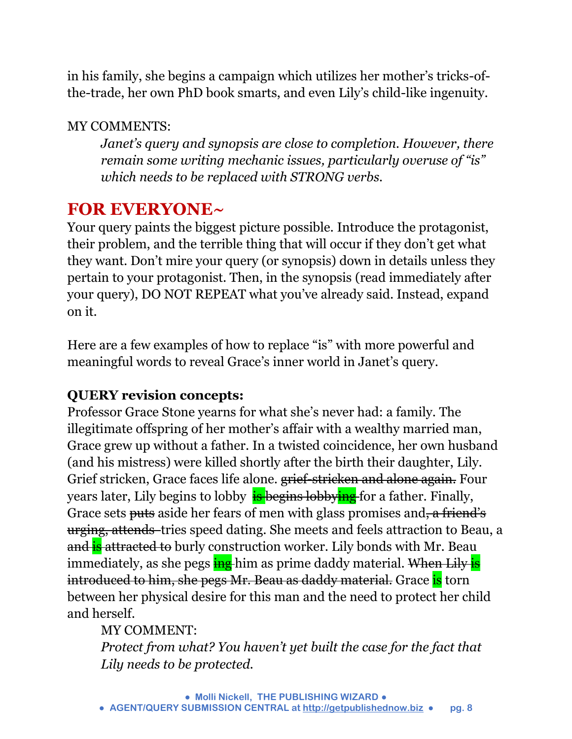in his family, she begins a campaign which utilizes her mother's tricks-ofthe-trade, her own PhD book smarts, and even Lily's child-like ingenuity.

#### MY COMMENTS:

*Janet's query and synopsis are close to completion. However, there remain some writing mechanic issues, particularly overuse of "is" which needs to be replaced with STRONG verbs.* 

### **FOR EVERYONE~**

Your query paints the biggest picture possible. Introduce the protagonist, their problem, and the terrible thing that will occur if they don't get what they want. Don't mire your query (or synopsis) down in details unless they pertain to your protagonist. Then, in the synopsis (read immediately after your query), DO NOT REPEAT what you've already said. Instead, expand on it.

Here are a few examples of how to replace "is" with more powerful and meaningful words to reveal Grace's inner world in Janet's query.

#### **QUERY revision concepts:**

Professor Grace Stone yearns for what she's never had: a family. The illegitimate offspring of her mother's affair with a wealthy married man, Grace grew up without a father. In a twisted coincidence, her own husband (and his mistress) were killed shortly after the birth their daughter, Lily. Grief stricken, Grace faces life alone. grief-stricken and alone again. Four years later, Lily begins to lobby is begins lobbying for a father. Finally, Grace sets <del>puts</del> aside her fears of men with glass promises and, a friend's urging, attends tries speed dating. She meets and feels attraction to Beau, a and is attracted to burly construction worker. Lily bonds with Mr. Beau immediately, as she pegs ing him as prime daddy material. When Lily is introduced to him, she pegs Mr. Beau as daddy material. Grace is torn between her physical desire for this man and the need to protect her child and herself.

#### MY COMMENT:

*Protect from what? You haven't yet built the case for the fact that Lily needs to be protected.*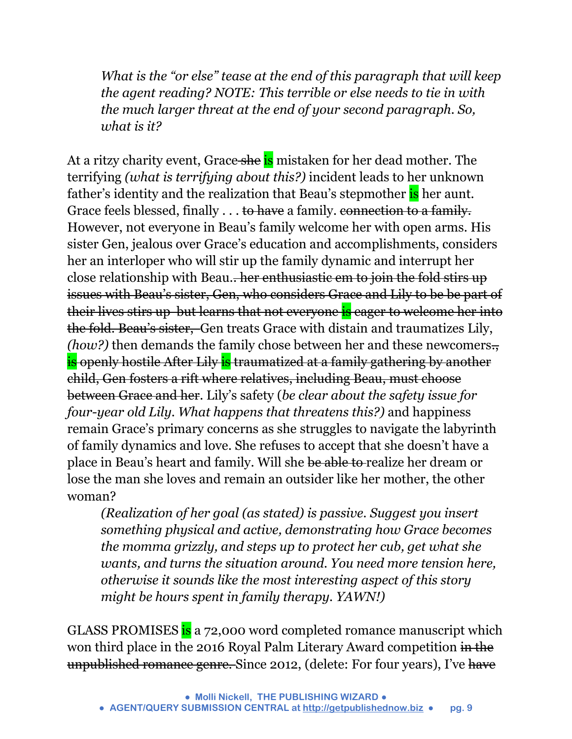*What is the "or else" tease at the end of this paragraph that will keep the agent reading? NOTE: This terrible or else needs to tie in with the much larger threat at the end of your second paragraph. So, what is it?* 

At a ritzy charity event, Grace she is mistaken for her dead mother. The terrifying *(what is terrifying about this?)* incident leads to her unknown father's identity and the realization that Beau's stepmother is her aunt. Grace feels blessed, finally . . . to have a family. connection to a family. However, not everyone in Beau's family welcome her with open arms. His sister Gen, jealous over Grace's education and accomplishments, considers her an interloper who will stir up the family dynamic and interrupt her close relationship with Beau.. her enthusiastic em to join the fold stirs up issues with Beau's sister, Gen, who considers Grace and Lily to be be part of their lives stirs up but learns that not everyone is eager to welcome her into the fold. Beau's sister, Gen treats Grace with distain and traumatizes Lily, *(how?)* then demands the family chose between her and these newcomers. is openly hostile After Lily is traumatized at a family gathering by another child, Gen fosters a rift where relatives, including Beau, must choose between Grace and her*.* Lily's safety (*be clear about the safety issue for four-year old Lily. What happens that threatens this?)* and happiness remain Grace's primary concerns as she struggles to navigate the labyrinth of family dynamics and love. She refuses to accept that she doesn't have a place in Beau's heart and family. Will she be able to realize her dream or lose the man she loves and remain an outsider like her mother, the other woman?

*(Realization of her goal (as stated) is passive. Suggest you insert something physical and active, demonstrating how Grace becomes the momma grizzly, and steps up to protect her cub, get what she wants, and turns the situation around. You need more tension here, otherwise it sounds like the most interesting aspect of this story might be hours spent in family therapy. YAWN!)*

GLASS PROMISES is a 72,000 word completed romance manuscript which won third place in the 2016 Royal Palm Literary Award competition in the unpublished romance genre. Since 2012, (delete: For four years), I've have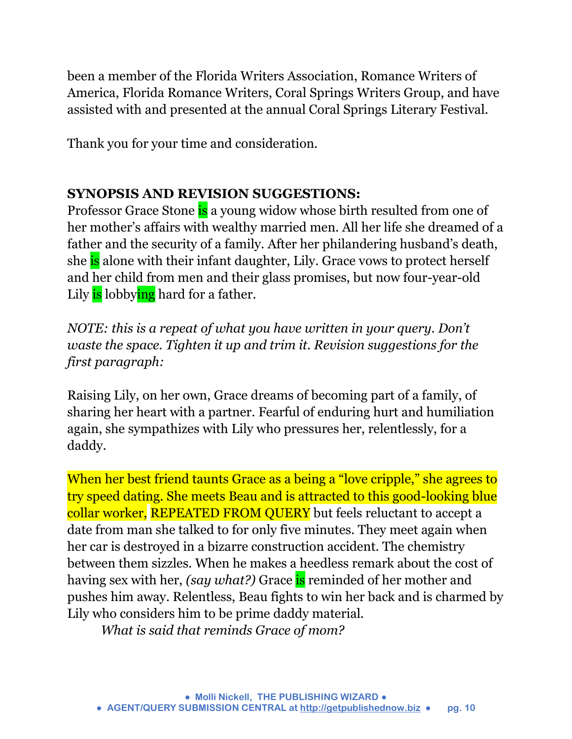been a member of the Florida Writers Association, Romance Writers of America, Florida Romance Writers, Coral Springs Writers Group, and have assisted with and presented at the annual Coral Springs Literary Festival.

Thank you for your time and consideration.

#### **SYNOPSIS AND REVISION SUGGESTIONS:**

Professor Grace Stone is a young widow whose birth resulted from one of her mother's affairs with wealthy married men. All her life she dreamed of a father and the security of a family. After her philandering husband's death, she is alone with their infant daughter, Lily. Grace vows to protect herself and her child from men and their glass promises, but now four-year-old Lily is lobbying hard for a father.

*NOTE: this is a repeat of what you have written in your query. Don't waste the space. Tighten it up and trim it. Revision suggestions for the first paragraph:* 

Raising Lily, on her own, Grace dreams of becoming part of a family, of sharing her heart with a partner. Fearful of enduring hurt and humiliation again, she sympathizes with Lily who pressures her, relentlessly, for a daddy.

When her best friend taunts Grace as a being a "love cripple," she agrees to try speed dating. She meets Beau and is attracted to this good-looking blue collar worker, REPEATED FROM QUERY but feels reluctant to accept a date from man she talked to for only five minutes. They meet again when her car is destroyed in a bizarre construction accident. The chemistry between them sizzles. When he makes a heedless remark about the cost of having sex with her, *(say what?)* Grace **is** reminded of her mother and pushes him away. Relentless, Beau fights to win her back and is charmed by Lily who considers him to be prime daddy material.

*What is said that reminds Grace of mom?*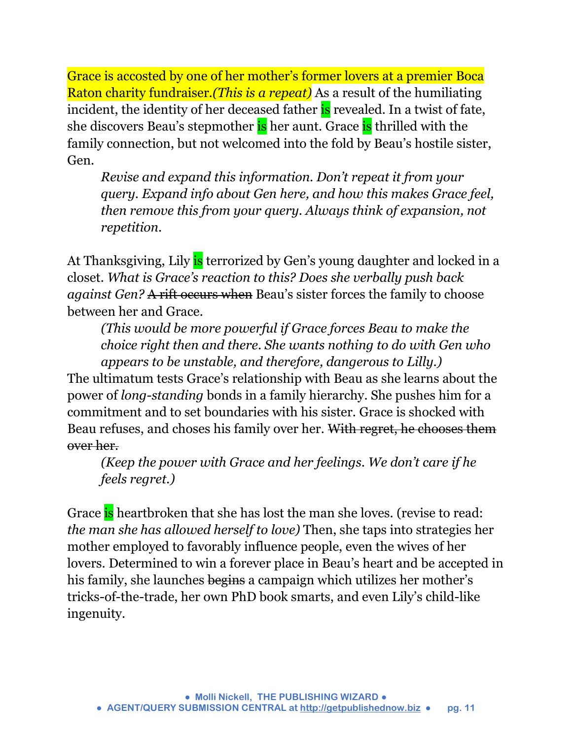Grace is accosted by one of her mother's former lovers at a premier Boca Raton charity fundraiser*.(This is a repeat)* As a result of the humiliating incident, the identity of her deceased father is revealed. In a twist of fate, she discovers Beau's stepmother is her aunt. Grace is thrilled with the family connection, but not welcomed into the fold by Beau's hostile sister, Gen.

*Revise and expand this information. Don't repeat it from your query. Expand info about Gen here, and how this makes Grace feel, then remove this from your query. Always think of expansion, not repetition.* 

At Thanksgiving, Lily is terrorized by Gen's young daughter and locked in a closet. *What is Grace's reaction to this? Does she verbally push back against Gen?* A rift occurs when Beau's sister forces the family to choose between her and Grace.

*(This would be more powerful if Grace forces Beau to make the choice right then and there. She wants nothing to do with Gen who appears to be unstable, and therefore, dangerous to Lilly.)*

The ultimatum tests Grace's relationship with Beau as she learns about the power of *long-standing* bonds in a family hierarchy. She pushes him for a commitment and to set boundaries with his sister. Grace is shocked with Beau refuses, and choses his family over her. With regret, he chooses them over her.

*(Keep the power with Grace and her feelings. We don't care if he feels regret.)*

Grace is heartbroken that she has lost the man she loves. (revise to read: *the man she has allowed herself to love)* Then, she taps into strategies her mother employed to favorably influence people, even the wives of her lovers. Determined to win a forever place in Beau's heart and be accepted in his family, she launches begins a campaign which utilizes her mother's tricks-of-the-trade, her own PhD book smarts, and even Lily's child-like ingenuity.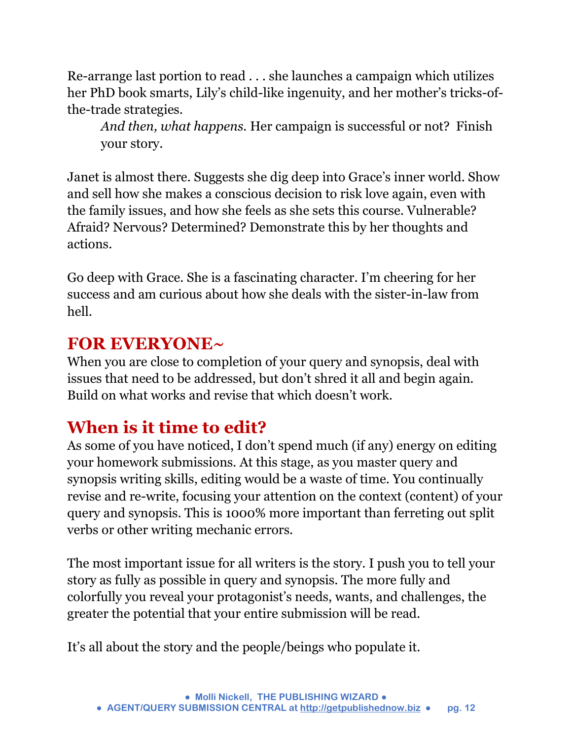Re-arrange last portion to read . . . she launches a campaign which utilizes her PhD book smarts, Lily's child-like ingenuity, and her mother's tricks-ofthe-trade strategies.

*And then, what happens.* Her campaign is successful or not? Finish your story.

Janet is almost there. Suggests she dig deep into Grace's inner world. Show and sell how she makes a conscious decision to risk love again, even with the family issues, and how she feels as she sets this course. Vulnerable? Afraid? Nervous? Determined? Demonstrate this by her thoughts and actions.

Go deep with Grace. She is a fascinating character. I'm cheering for her success and am curious about how she deals with the sister-in-law from hell.

### **FOR EVERYONE~**

When you are close to completion of your query and synopsis, deal with issues that need to be addressed, but don't shred it all and begin again. Build on what works and revise that which doesn't work.

### **When is it time to edit?**

As some of you have noticed, I don't spend much (if any) energy on editing your homework submissions. At this stage, as you master query and synopsis writing skills, editing would be a waste of time. You continually revise and re-write, focusing your attention on the context (content) of your query and synopsis. This is 1000% more important than ferreting out split verbs or other writing mechanic errors.

The most important issue for all writers is the story. I push you to tell your story as fully as possible in query and synopsis. The more fully and colorfully you reveal your protagonist's needs, wants, and challenges, the greater the potential that your entire submission will be read.

It's all about the story and the people/beings who populate it.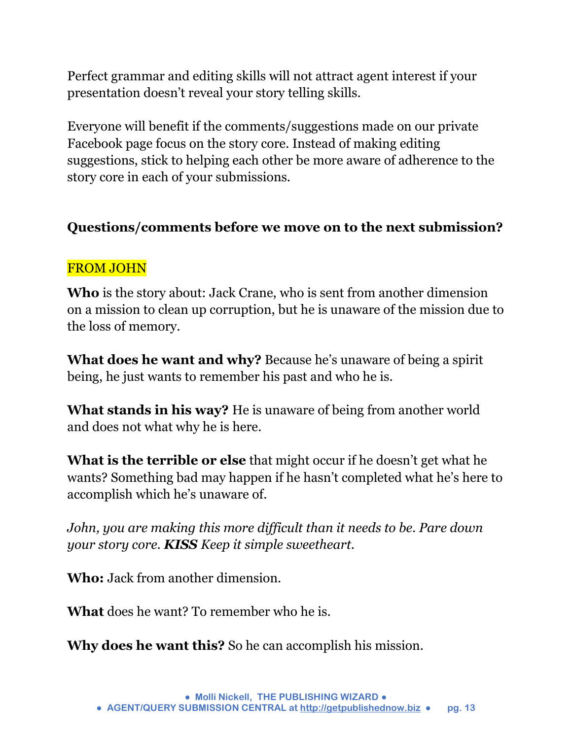Perfect grammar and editing skills will not attract agent interest if your presentation doesn't reveal your story telling skills.

Everyone will benefit if the comments/suggestions made on our private Facebook page focus on the story core. Instead of making editing suggestions, stick to helping each other be more aware of adherence to the story core in each of your submissions.

#### **Questions/comments before we move on to the next submission?**

#### FROM JOHN

**Who** is the story about: Jack Crane, who is sent from another dimension on a mission to clean up corruption, but he is unaware of the mission due to the loss of memory.

**What does he want and why?** Because he's unaware of being a spirit being, he just wants to remember his past and who he is.

**What stands in his way?** He is unaware of being from another world and does not what why he is here.

**What is the terrible or else** that might occur if he doesn't get what he wants? Something bad may happen if he hasn't completed what he's here to accomplish which he's unaware of.

*John, you are making this more difficult than it needs to be. Pare down your story core. KISS Keep it simple sweetheart.* 

**Who:** Jack from another dimension.

**What** does he want? To remember who he is.

**Why does he want this?** So he can accomplish his mission.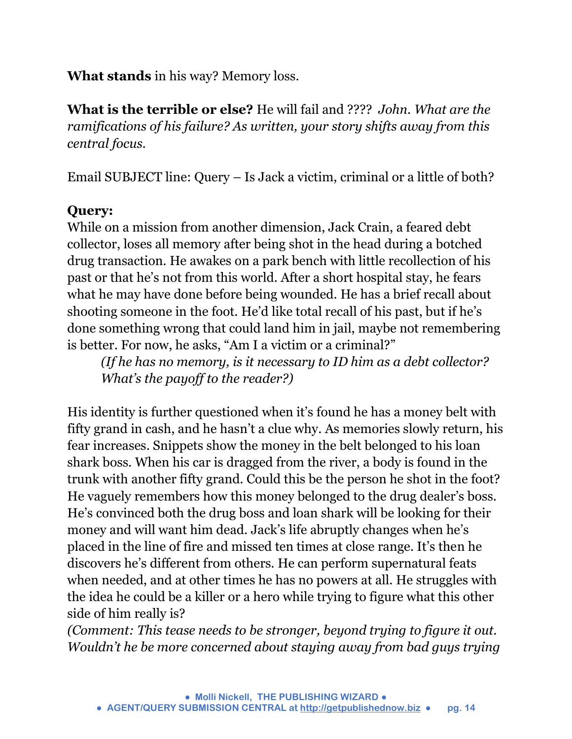**What stands** in his way? Memory loss.

**What is the terrible or else?** He will fail and ???? *John. What are the ramifications of his failure? As written, your story shifts away from this central focus.*

Email SUBJECT line: Query – Is Jack a victim, criminal or a little of both?

#### **Query:**

While on a mission from another dimension, Jack Crain, a feared debt collector, loses all memory after being shot in the head during a botched drug transaction. He awakes on a park bench with little recollection of his past or that he's not from this world. After a short hospital stay, he fears what he may have done before being wounded. He has a brief recall about shooting someone in the foot. He'd like total recall of his past, but if he's done something wrong that could land him in jail, maybe not remembering is better. For now, he asks, "Am I a victim or a criminal?"

*(If he has no memory, is it necessary to ID him as a debt collector? What's the payoff to the reader?)* 

His identity is further questioned when it's found he has a money belt with fifty grand in cash, and he hasn't a clue why. As memories slowly return, his fear increases. Snippets show the money in the belt belonged to his loan shark boss. When his car is dragged from the river, a body is found in the trunk with another fifty grand. Could this be the person he shot in the foot? He vaguely remembers how this money belonged to the drug dealer's boss. He's convinced both the drug boss and loan shark will be looking for their money and will want him dead. Jack's life abruptly changes when he's placed in the line of fire and missed ten times at close range. It's then he discovers he's different from others. He can perform supernatural feats when needed, and at other times he has no powers at all. He struggles with the idea he could be a killer or a hero while trying to figure what this other side of him really is?

*(Comment: This tease needs to be stronger, beyond trying to figure it out. Wouldn't he be more concerned about staying away from bad guys trying*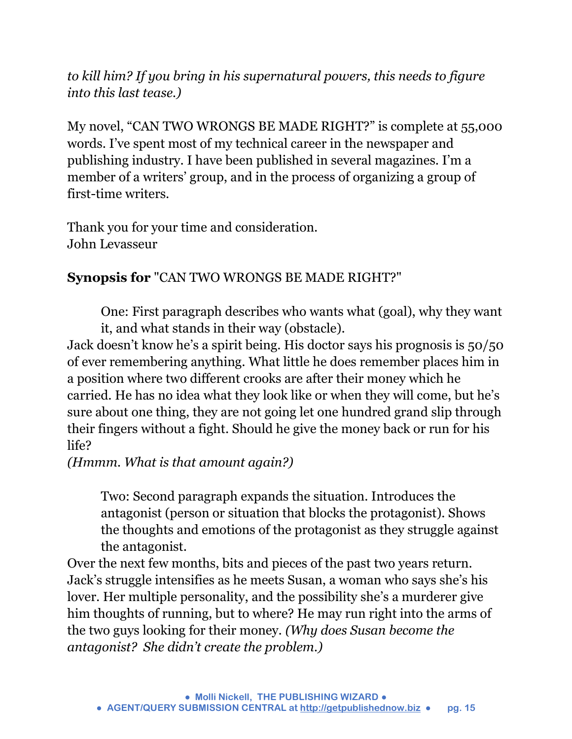*to kill him? If you bring in his supernatural powers, this needs to figure into this last tease.)*

My novel, "CAN TWO WRONGS BE MADE RIGHT?" is complete at 55,000 words. I've spent most of my technical career in the newspaper and publishing industry. I have been published in several magazines. I'm a member of a writers' group, and in the process of organizing a group of first-time writers.

Thank you for your time and consideration. John Levasseur

#### **Synopsis for** "CAN TWO WRONGS BE MADE RIGHT?"

One: First paragraph describes who wants what (goal), why they want it, and what stands in their way (obstacle).

Jack doesn't know he's a spirit being. His doctor says his prognosis is 50/50 of ever remembering anything. What little he does remember places him in a position where two different crooks are after their money which he carried. He has no idea what they look like or when they will come, but he's sure about one thing, they are not going let one hundred grand slip through their fingers without a fight. Should he give the money back or run for his life?

*(Hmmm. What is that amount again?)* 

Two: Second paragraph expands the situation. Introduces the antagonist (person or situation that blocks the protagonist). Shows the thoughts and emotions of the protagonist as they struggle against the antagonist.

Over the next few months, bits and pieces of the past two years return. Jack's struggle intensifies as he meets Susan, a woman who says she's his lover. Her multiple personality, and the possibility she's a murderer give him thoughts of running, but to where? He may run right into the arms of the two guys looking for their money. *(Why does Susan become the antagonist? She didn't create the problem.)*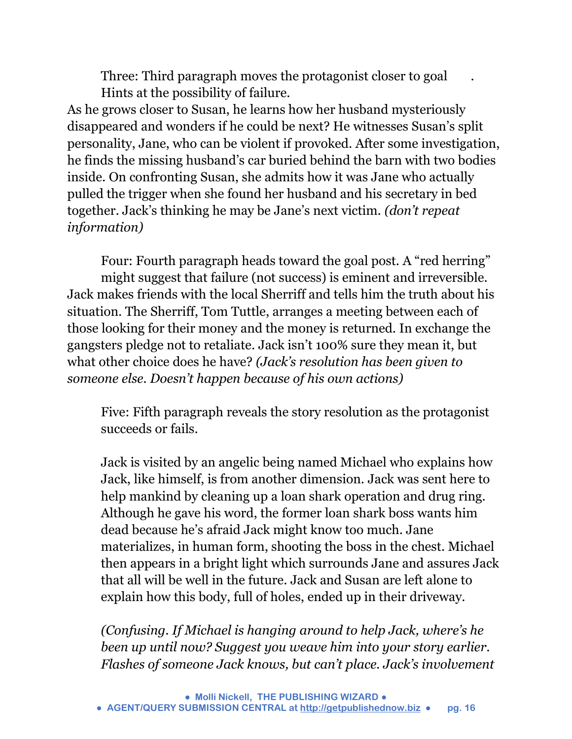Three: Third paragraph moves the protagonist closer to goal . Hints at the possibility of failure.

As he grows closer to Susan, he learns how her husband mysteriously disappeared and wonders if he could be next? He witnesses Susan's split personality, Jane, who can be violent if provoked. After some investigation, he finds the missing husband's car buried behind the barn with two bodies inside. On confronting Susan, she admits how it was Jane who actually pulled the trigger when she found her husband and his secretary in bed together. Jack's thinking he may be Jane's next victim. *(don't repeat information)*

Four: Fourth paragraph heads toward the goal post. A "red herring" might suggest that failure (not success) is eminent and irreversible. Jack makes friends with the local Sherriff and tells him the truth about his situation. The Sherriff, Tom Tuttle, arranges a meeting between each of those looking for their money and the money is returned. In exchange the gangsters pledge not to retaliate. Jack isn't 100% sure they mean it, but what other choice does he have? *(Jack's resolution has been given to someone else. Doesn't happen because of his own actions)* 

Five: Fifth paragraph reveals the story resolution as the protagonist succeeds or fails.

Jack is visited by an angelic being named Michael who explains how Jack, like himself, is from another dimension. Jack was sent here to help mankind by cleaning up a loan shark operation and drug ring. Although he gave his word, the former loan shark boss wants him dead because he's afraid Jack might know too much. Jane materializes, in human form, shooting the boss in the chest. Michael then appears in a bright light which surrounds Jane and assures Jack that all will be well in the future. Jack and Susan are left alone to explain how this body, full of holes, ended up in their driveway.

*(Confusing. If Michael is hanging around to help Jack, where's he been up until now? Suggest you weave him into your story earlier. Flashes of someone Jack knows, but can't place. Jack's involvement*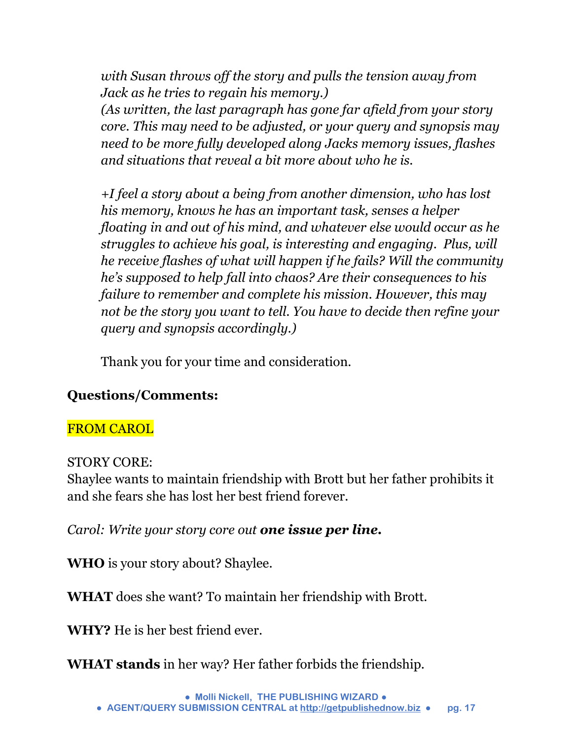*with Susan throws off the story and pulls the tension away from Jack as he tries to regain his memory.) (As written, the last paragraph has gone far afield from your story core. This may need to be adjusted, or your query and synopsis may need to be more fully developed along Jacks memory issues, flashes and situations that reveal a bit more about who he is.* 

*+I feel a story about a being from another dimension, who has lost his memory, knows he has an important task, senses a helper floating in and out of his mind, and whatever else would occur as he struggles to achieve his goal, is interesting and engaging. Plus, will he receive flashes of what will happen if he fails? Will the community he's supposed to help fall into chaos? Are their consequences to his failure to remember and complete his mission. However, this may not be the story you want to tell. You have to decide then refine your query and synopsis accordingly.)* 

Thank you for your time and consideration.

#### **Questions/Comments:**

#### FROM CAROL

#### STORY CORE:

Shaylee wants to maintain friendship with Brott but her father prohibits it and she fears she has lost her best friend forever.

*Carol: Write your story core out one issue per line.*

**WHO** is your story about? Shaylee.

**WHAT** does she want? To maintain her friendship with Brott.

**WHY?** He is her best friend ever.

**WHAT stands** in her way? Her father forbids the friendship.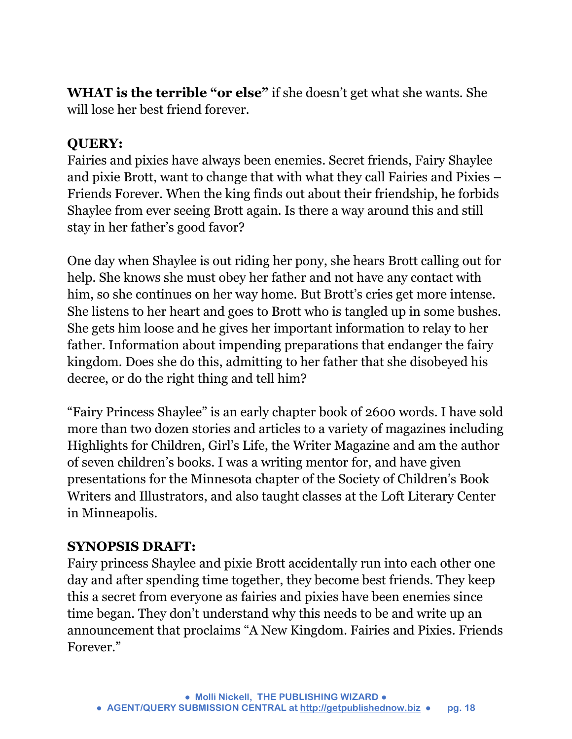**WHAT is the terrible "or else"** if she doesn't get what she wants. She will lose her best friend forever.

#### **QUERY:**

Fairies and pixies have always been enemies. Secret friends, Fairy Shaylee and pixie Brott, want to change that with what they call Fairies and Pixies – Friends Forever. When the king finds out about their friendship, he forbids Shaylee from ever seeing Brott again. Is there a way around this and still stay in her father's good favor?

One day when Shaylee is out riding her pony, she hears Brott calling out for help. She knows she must obey her father and not have any contact with him, so she continues on her way home. But Brott's cries get more intense. She listens to her heart and goes to Brott who is tangled up in some bushes. She gets him loose and he gives her important information to relay to her father. Information about impending preparations that endanger the fairy kingdom. Does she do this, admitting to her father that she disobeyed his decree, or do the right thing and tell him?

"Fairy Princess Shaylee" is an early chapter book of 2600 words. I have sold more than two dozen stories and articles to a variety of magazines including Highlights for Children, Girl's Life, the Writer Magazine and am the author of seven children's books. I was a writing mentor for, and have given presentations for the Minnesota chapter of the Society of Children's Book Writers and Illustrators, and also taught classes at the Loft Literary Center in Minneapolis.

#### **SYNOPSIS DRAFT:**

Fairy princess Shaylee and pixie Brott accidentally run into each other one day and after spending time together, they become best friends. They keep this a secret from everyone as fairies and pixies have been enemies since time began. They don't understand why this needs to be and write up an announcement that proclaims "A New Kingdom. Fairies and Pixies. Friends Forever."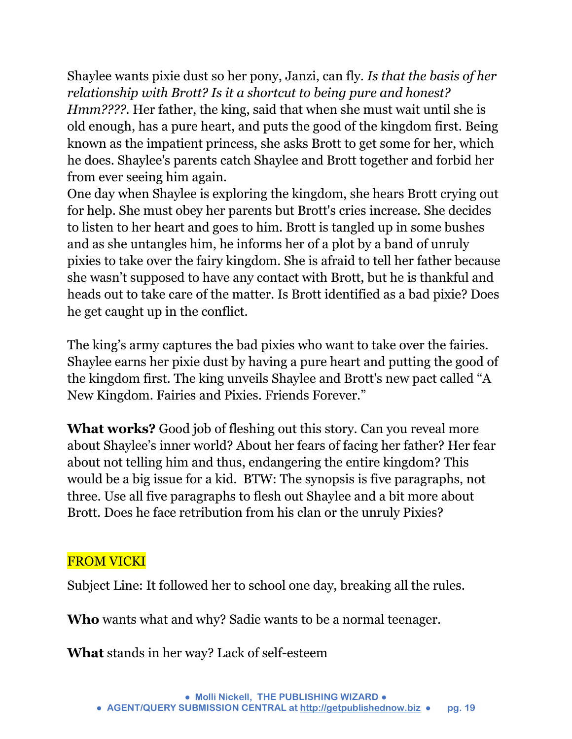Shaylee wants pixie dust so her pony, Janzi, can fly. *Is that the basis of her relationship with Brott? Is it a shortcut to being pure and honest? Hmm????.* Her father, the king, said that when she must wait until she is old enough, has a pure heart, and puts the good of the kingdom first. Being known as the impatient princess, she asks Brott to get some for her, which he does. Shaylee's parents catch Shaylee and Brott together and forbid her from ever seeing him again.

One day when Shaylee is exploring the kingdom, she hears Brott crying out for help. She must obey her parents but Brott's cries increase. She decides to listen to her heart and goes to him. Brott is tangled up in some bushes and as she untangles him, he informs her of a plot by a band of unruly pixies to take over the fairy kingdom. She is afraid to tell her father because she wasn't supposed to have any contact with Brott, but he is thankful and heads out to take care of the matter. Is Brott identified as a bad pixie? Does he get caught up in the conflict.

The king's army captures the bad pixies who want to take over the fairies. Shaylee earns her pixie dust by having a pure heart and putting the good of the kingdom first. The king unveils Shaylee and Brott's new pact called "A New Kingdom. Fairies and Pixies. Friends Forever."

**What works?** Good job of fleshing out this story. Can you reveal more about Shaylee's inner world? About her fears of facing her father? Her fear about not telling him and thus, endangering the entire kingdom? This would be a big issue for a kid. BTW: The synopsis is five paragraphs, not three. Use all five paragraphs to flesh out Shaylee and a bit more about Brott. Does he face retribution from his clan or the unruly Pixies?

#### FROM VICKI

Subject Line: It followed her to school one day, breaking all the rules.

**Who** wants what and why? Sadie wants to be a normal teenager.

**What** stands in her way? Lack of self-esteem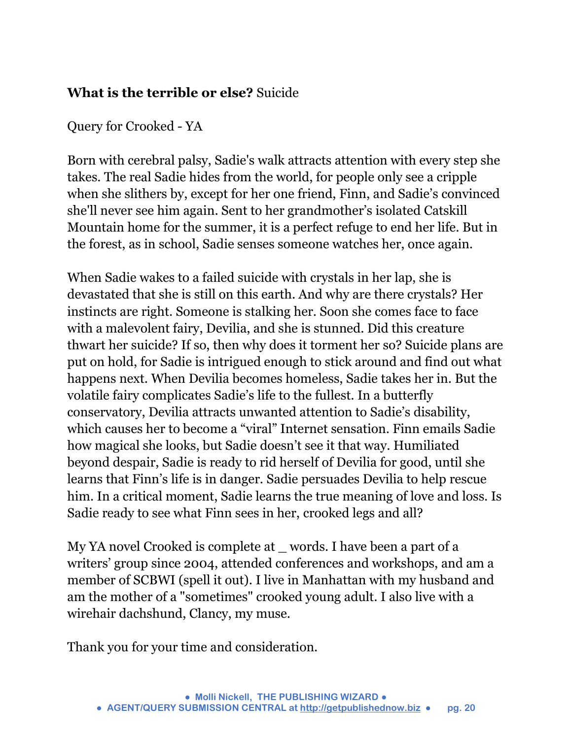#### **What is the terrible or else?** Suicide

Query for Crooked - YA

Born with cerebral palsy, Sadie's walk attracts attention with every step she takes. The real Sadie hides from the world, for people only see a cripple when she slithers by, except for her one friend, Finn, and Sadie's convinced she'll never see him again. Sent to her grandmother's isolated Catskill Mountain home for the summer, it is a perfect refuge to end her life. But in the forest, as in school, Sadie senses someone watches her, once again.

When Sadie wakes to a failed suicide with crystals in her lap, she is devastated that she is still on this earth. And why are there crystals? Her instincts are right. Someone is stalking her. Soon she comes face to face with a malevolent fairy, Devilia, and she is stunned. Did this creature thwart her suicide? If so, then why does it torment her so? Suicide plans are put on hold, for Sadie is intrigued enough to stick around and find out what happens next. When Devilia becomes homeless, Sadie takes her in. But the volatile fairy complicates Sadie's life to the fullest. In a butterfly conservatory, Devilia attracts unwanted attention to Sadie's disability, which causes her to become a "viral" Internet sensation. Finn emails Sadie how magical she looks, but Sadie doesn't see it that way. Humiliated beyond despair, Sadie is ready to rid herself of Devilia for good, until she learns that Finn's life is in danger. Sadie persuades Devilia to help rescue him. In a critical moment, Sadie learns the true meaning of love and loss. Is Sadie ready to see what Finn sees in her, crooked legs and all?

My YA novel Crooked is complete at words. I have been a part of a writers' group since 2004, attended conferences and workshops, and am a member of SCBWI (spell it out). I live in Manhattan with my husband and am the mother of a "sometimes" crooked young adult. I also live with a wirehair dachshund, Clancy, my muse.

Thank you for your time and consideration.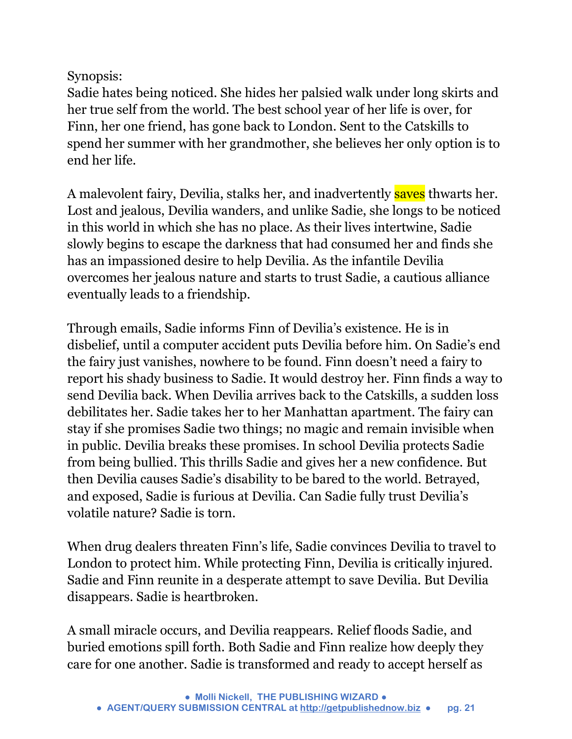Synopsis:

Sadie hates being noticed. She hides her palsied walk under long skirts and her true self from the world. The best school year of her life is over, for Finn, her one friend, has gone back to London. Sent to the Catskills to spend her summer with her grandmother, she believes her only option is to end her life.

A malevolent fairy, Devilia, stalks her, and inadvertently saves thwarts her. Lost and jealous, Devilia wanders, and unlike Sadie, she longs to be noticed in this world in which she has no place. As their lives intertwine, Sadie slowly begins to escape the darkness that had consumed her and finds she has an impassioned desire to help Devilia. As the infantile Devilia overcomes her jealous nature and starts to trust Sadie, a cautious alliance eventually leads to a friendship.

Through emails, Sadie informs Finn of Devilia's existence. He is in disbelief, until a computer accident puts Devilia before him. On Sadie's end the fairy just vanishes, nowhere to be found. Finn doesn't need a fairy to report his shady business to Sadie. It would destroy her. Finn finds a way to send Devilia back. When Devilia arrives back to the Catskills, a sudden loss debilitates her. Sadie takes her to her Manhattan apartment. The fairy can stay if she promises Sadie two things; no magic and remain invisible when in public. Devilia breaks these promises. In school Devilia protects Sadie from being bullied. This thrills Sadie and gives her a new confidence. But then Devilia causes Sadie's disability to be bared to the world. Betrayed, and exposed, Sadie is furious at Devilia. Can Sadie fully trust Devilia's volatile nature? Sadie is torn.

When drug dealers threaten Finn's life, Sadie convinces Devilia to travel to London to protect him. While protecting Finn, Devilia is critically injured. Sadie and Finn reunite in a desperate attempt to save Devilia. But Devilia disappears. Sadie is heartbroken.

A small miracle occurs, and Devilia reappears. Relief floods Sadie, and buried emotions spill forth. Both Sadie and Finn realize how deeply they care for one another. Sadie is transformed and ready to accept herself as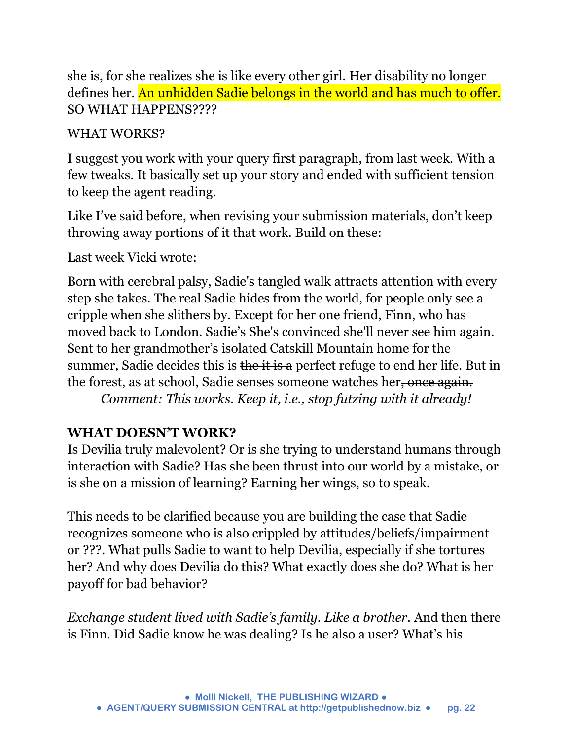she is, for she realizes she is like every other girl. Her disability no longer defines her. An unhidden Sadie belongs in the world and has much to offer. SO WHAT HAPPENS????

#### WHAT WORKS?

I suggest you work with your query first paragraph, from last week. With a few tweaks. It basically set up your story and ended with sufficient tension to keep the agent reading.

Like I've said before, when revising your submission materials, don't keep throwing away portions of it that work. Build on these:

Last week Vicki wrote:

Born with cerebral palsy, Sadie's tangled walk attracts attention with every step she takes. The real Sadie hides from the world, for people only see a cripple when she slithers by. Except for her one friend, Finn, who has moved back to London. Sadie's She's convinced she'll never see him again. Sent to her grandmother's isolated Catskill Mountain home for the summer, Sadie decides this is the it is a perfect refuge to end her life. But in the forest, as at school, Sadie senses someone watches her, once again. *Comment: This works. Keep it, i.e., stop futzing with it already!* 

#### **WHAT DOESN'T WORK?**

Is Devilia truly malevolent? Or is she trying to understand humans through interaction with Sadie? Has she been thrust into our world by a mistake, or is she on a mission of learning? Earning her wings, so to speak.

This needs to be clarified because you are building the case that Sadie recognizes someone who is also crippled by attitudes/beliefs/impairment or ???. What pulls Sadie to want to help Devilia, especially if she tortures her? And why does Devilia do this? What exactly does she do? What is her payoff for bad behavior?

*Exchange student lived with Sadie's family. Like a brother.* And then there is Finn. Did Sadie know he was dealing? Is he also a user? What's his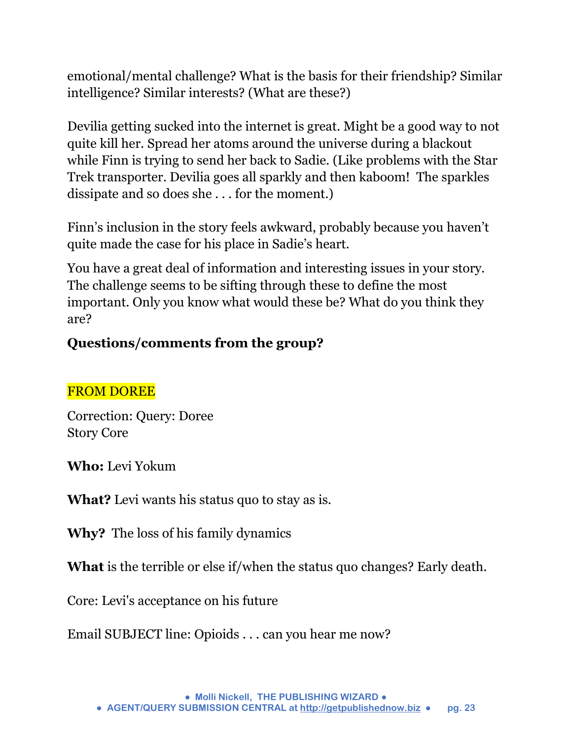emotional/mental challenge? What is the basis for their friendship? Similar intelligence? Similar interests? (What are these?)

Devilia getting sucked into the internet is great. Might be a good way to not quite kill her. Spread her atoms around the universe during a blackout while Finn is trying to send her back to Sadie. (Like problems with the Star Trek transporter. Devilia goes all sparkly and then kaboom! The sparkles dissipate and so does she . . . for the moment.)

Finn's inclusion in the story feels awkward, probably because you haven't quite made the case for his place in Sadie's heart.

You have a great deal of information and interesting issues in your story. The challenge seems to be sifting through these to define the most important. Only you know what would these be? What do you think they are?

#### **Questions/comments from the group?**

#### FROM DOREE

Correction: Query: Doree Story Core

**Who:** Levi Yokum

**What?** Levi wants his status quo to stay as is.

**Why?** The loss of his family dynamics

**What** is the terrible or else if/when the status quo changes? Early death.

Core: Levi's acceptance on his future

Email SUBJECT line: Opioids . . . can you hear me now?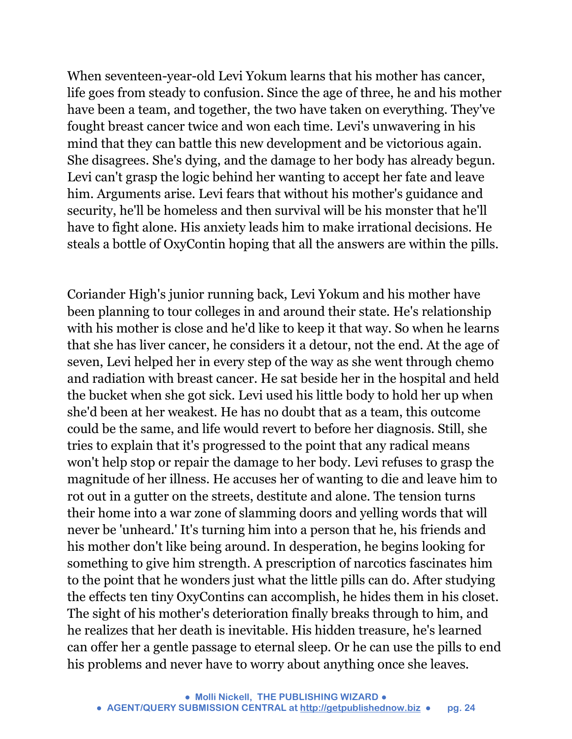When seventeen-year-old Levi Yokum learns that his mother has cancer, life goes from steady to confusion. Since the age of three, he and his mother have been a team, and together, the two have taken on everything. They've fought breast cancer twice and won each time. Levi's unwavering in his mind that they can battle this new development and be victorious again. She disagrees. She's dying, and the damage to her body has already begun. Levi can't grasp the logic behind her wanting to accept her fate and leave him. Arguments arise. Levi fears that without his mother's guidance and security, he'll be homeless and then survival will be his monster that he'll have to fight alone. His anxiety leads him to make irrational decisions. He steals a bottle of OxyContin hoping that all the answers are within the pills.

Coriander High's junior running back, Levi Yokum and his mother have been planning to tour colleges in and around their state. He's relationship with his mother is close and he'd like to keep it that way. So when he learns that she has liver cancer, he considers it a detour, not the end. At the age of seven, Levi helped her in every step of the way as she went through chemo and radiation with breast cancer. He sat beside her in the hospital and held the bucket when she got sick. Levi used his little body to hold her up when she'd been at her weakest. He has no doubt that as a team, this outcome could be the same, and life would revert to before her diagnosis. Still, she tries to explain that it's progressed to the point that any radical means won't help stop or repair the damage to her body. Levi refuses to grasp the magnitude of her illness. He accuses her of wanting to die and leave him to rot out in a gutter on the streets, destitute and alone. The tension turns their home into a war zone of slamming doors and yelling words that will never be 'unheard.' It's turning him into a person that he, his friends and his mother don't like being around. In desperation, he begins looking for something to give him strength. A prescription of narcotics fascinates him to the point that he wonders just what the little pills can do. After studying the effects ten tiny OxyContins can accomplish, he hides them in his closet. The sight of his mother's deterioration finally breaks through to him, and he realizes that her death is inevitable. His hidden treasure, he's learned can offer her a gentle passage to eternal sleep. Or he can use the pills to end his problems and never have to worry about anything once she leaves.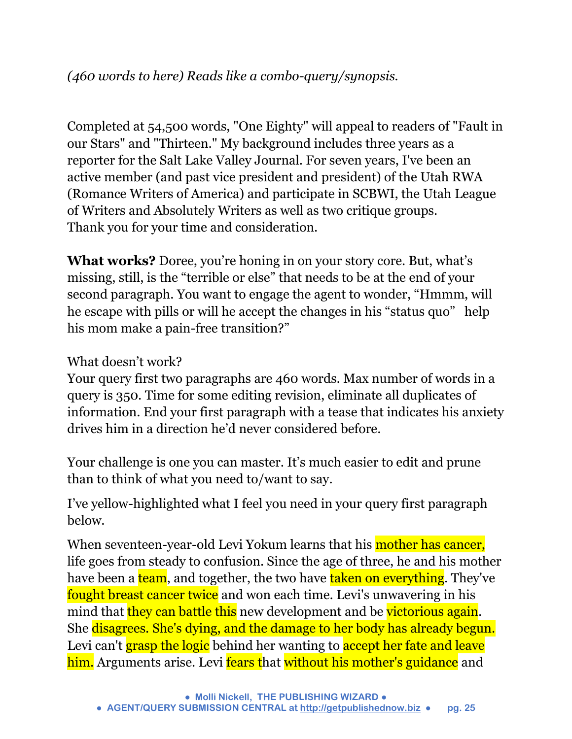Completed at 54,500 words, "One Eighty" will appeal to readers of "Fault in our Stars" and "Thirteen." My background includes three years as a reporter for the Salt Lake Valley Journal. For seven years, I've been an active member (and past vice president and president) of the Utah RWA (Romance Writers of America) and participate in SCBWI, the Utah League of Writers and Absolutely Writers as well as two critique groups. Thank you for your time and consideration.

**What works?** Doree, you're honing in on your story core. But, what's missing, still, is the "terrible or else" that needs to be at the end of your second paragraph. You want to engage the agent to wonder, "Hmmm, will he escape with pills or will he accept the changes in his "status quo" help his mom make a pain-free transition?"

#### What doesn't work?

Your query first two paragraphs are 460 words. Max number of words in a query is 350. Time for some editing revision, eliminate all duplicates of information. End your first paragraph with a tease that indicates his anxiety drives him in a direction he'd never considered before.

Your challenge is one you can master. It's much easier to edit and prune than to think of what you need to/want to say.

I've yellow-highlighted what I feel you need in your query first paragraph below.

When seventeen-year-old Levi Yokum learns that his mother has cancer, life goes from steady to confusion. Since the age of three, he and his mother have been a team, and together, the two have taken on everything. They've fought breast cancer twice and won each time. Levi's unwavering in his mind that they can battle this new development and be victorious again. She disagrees. She's dying, and the damage to her body has already begun. Levi can't grasp the logic behind her wanting to accept her fate and leave him. Arguments arise. Levi fears that without his mother's guidance and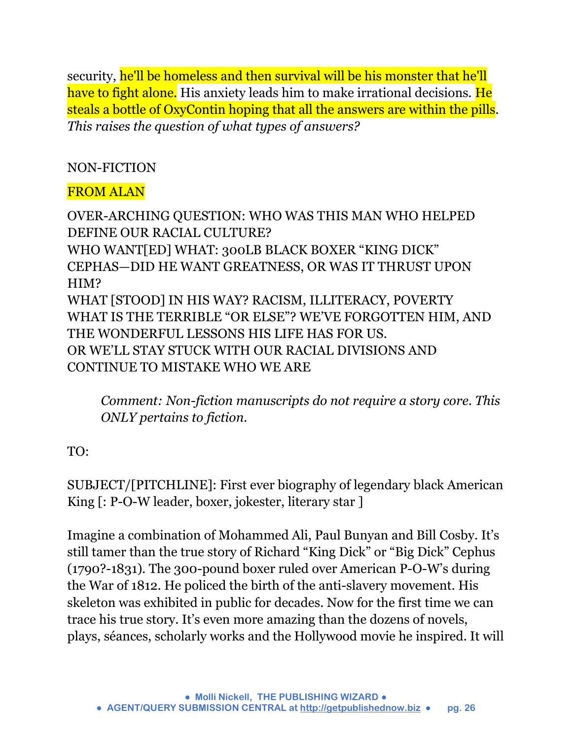security, he'll be homeless and then survival will be his monster that he'll have to fight alone. His anxiety leads him to make irrational decisions. He steals a bottle of OxyContin hoping that all the answers are within the pills. *This raises the question of what types of answers?*

#### NON-FICTION

#### FROM ALAN

OVER-ARCHING QUESTION: WHO WAS THIS MAN WHO HELPED DEFINE OUR RACIAL CULTURE? WHO WANT[ED] WHAT: 300LB BLACK BOXER "KING DICK" CEPHAS—DID HE WANT GREATNESS, OR WAS IT THRUST UPON HIM? WHAT [STOOD] IN HIS WAY? RACISM, ILLITERACY, POVERTY WHAT IS THE TERRIBLE "OR ELSE"? WE'VE FORGOTTEN HIM, AND THE WONDERFUL LESSONS HIS LIFE HAS FOR US. OR WE'LL STAY STUCK WITH OUR RACIAL DIVISIONS AND CONTINUE TO MISTAKE WHO WE ARE

*Comment: Non-fiction manuscripts do not require a story core. This ONLY pertains to fiction.* 

#### TO:

SUBJECT/[PITCHLINE]: First ever biography of legendary black American King [: P-O-W leader, boxer, jokester, literary star ]

Imagine a combination of Mohammed Ali, Paul Bunyan and Bill Cosby. It's still tamer than the true story of Richard "King Dick" or "Big Dick" Cephus (1790?-1831). The 300-pound boxer ruled over American P-O-W's during the War of 1812. He policed the birth of the anti-slavery movement. His skeleton was exhibited in public for decades. Now for the first time we can trace his true story. It's even more amazing than the dozens of novels, plays, séances, scholarly works and the Hollywood movie he inspired. It will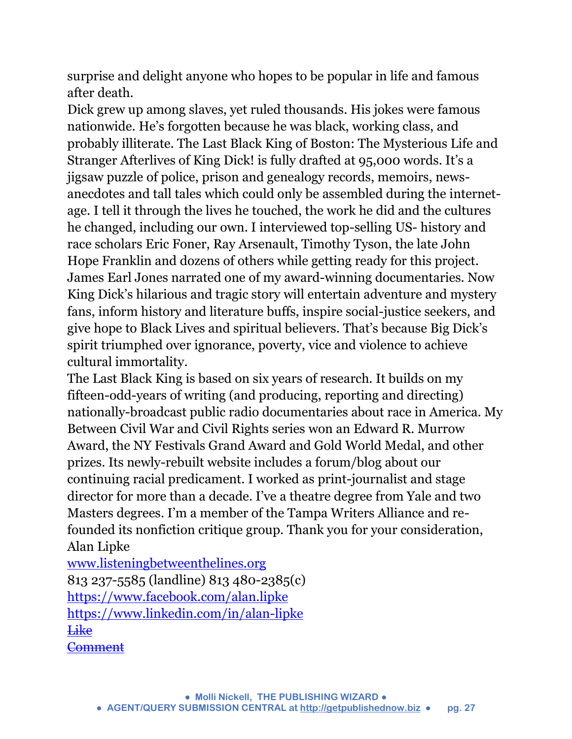surprise and delight anyone who hopes to be popular in life and famous after death.

Dick grew up among slaves, yet ruled thousands. His jokes were famous nationwide. He's forgotten because he was black, working class, and probably illiterate. The Last Black King of Boston: The Mysterious Life and Stranger Afterlives of King Dick! is fully drafted at 95,000 words. It's a jigsaw puzzle of police, prison and genealogy records, memoirs, newsanecdotes and tall tales which could only be assembled during the internetage. I tell it through the lives he touched, the work he did and the cultures he changed, including our own. I interviewed top-selling US- history and race scholars Eric Foner, Ray Arsenault, Timothy Tyson, the late John Hope Franklin and dozens of others while getting ready for this project. James Earl Jones narrated one of my award-winning documentaries. Now King Dick's hilarious and tragic story will entertain adventure and mystery fans, inform history and literature buffs, inspire social-justice seekers, and give hope to Black Lives and spiritual believers. That's because Big Dick's spirit triumphed over ignorance, poverty, vice and violence to achieve cultural immortality.

The Last Black King is based on six years of research. It builds on my fifteen-odd-years of writing (and producing, reporting and directing) nationally-broadcast public radio documentaries about race in America. My Between Civil War and Civil Rights series won an Edward R. Murrow Award, the NY Festivals Grand Award and Gold World Medal, and other prizes. Its newly-rebuilt website includes a forum/blog about our continuing racial predicament. I worked as print-journalist and stage director for more than a decade. I've a theatre degree from Yale and two Masters degrees. I'm a member of the Tampa Writers Alliance and refounded its nonfiction critique group. Thank you for your consideration, Alan Lipke

[www.listeningbetweenthelines.org](http://l.facebook.com/l.php?u=http%3A%2F%2Fwww.listeningbetweenthelines.org%2F&h=OAQFRxSPF&s=1) 813 237-5585 (landline) 813 480-2385(c) <https://www.facebook.com/alan.lipke> [https://www.linkedin.com/in/alan-lipke](https://www.facebook.com/l.php?u=https%3A%2F%2Fwww.linkedin.com%2Fin%2Falan-lipke&h=VAQF7so1x&s=1) [Like](https://www.facebook.com/notes/1622604421399808/FIRST%20EVER%20BIOGRAPHY%20OF%20LEGENDARY%20BLACK%20AMERICAN%20KING:%20P-O-W%20LEADER,%20BOXER,%20JOKER,%20LITERARY%20STAR/1712237292436520/) **[Comment](https://www.facebook.com/notes/1622604421399808/FIRST%20EVER%20BIOGRAPHY%20OF%20LEGENDARY%20BLACK%20AMERICAN%20KING:%20P-O-W%20LEADER,%20BOXER,%20JOKER,%20LITERARY%20STAR/1712237292436520/)**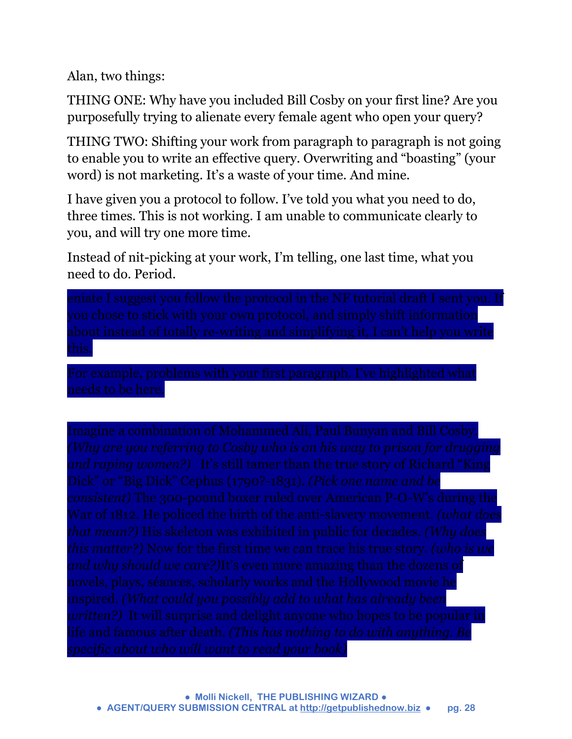Alan, two things:

THING ONE: Why have you included Bill Cosby on your first line? Are you purposefully trying to alienate every female agent who open your query?

THING TWO: Shifting your work from paragraph to paragraph is not going to enable you to write an effective query. Overwriting and "boasting" (your word) is not marketing. It's a waste of your time. And mine.

I have given you a protocol to follow. I've told you what you need to do, three times. This is not working. I am unable to communicate clearly to you, and will try one more time.

Instead of nit-picking at your work, I'm telling, one last time, what you need to do. Period.

you chose to stick with your own protocol, and simply shift information this.

Dick" or "Big Dick" Cephus (1790?-1831). *(Pick one name and be that mean?)* His skeleton was exhibited in public for decades. *(Why does and why should we care?)*It's even more amazing than the dozens of inspired. *(What could you possibly add to what has already been*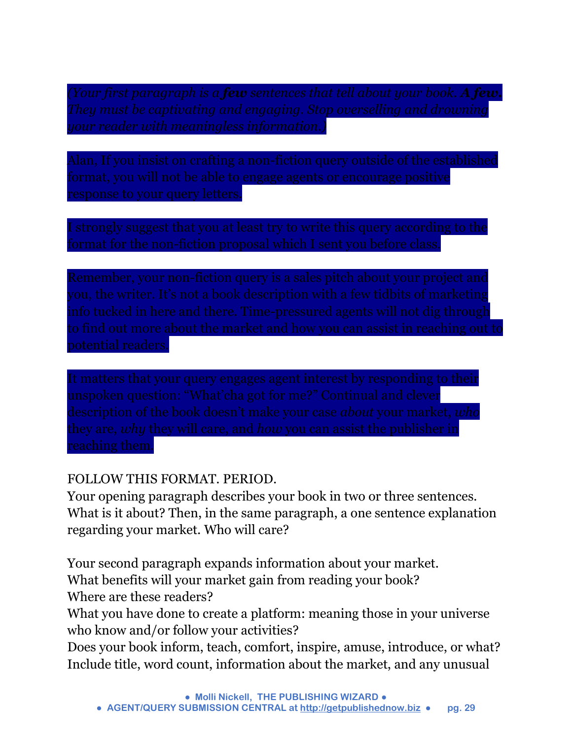response to your query letters.

format for the non-fiction proposal which I sent you before class.

info tucked in here and there. Time-pressured agents will not dig through

unspoken question: "What'cha got for me?" Continual and clever reaching them.

#### FOLLOW THIS FORMAT. PERIOD.

Your opening paragraph describes your book in two or three sentences. What is it about? Then, in the same paragraph, a one sentence explanation regarding your market. Who will care?

Your second paragraph expands information about your market. What benefits will your market gain from reading your book? Where are these readers?

What you have done to create a platform: meaning those in your universe who know and/or follow your activities?

Does your book inform, teach, comfort, inspire, amuse, introduce, or what? Include title, word count, information about the market, and any unusual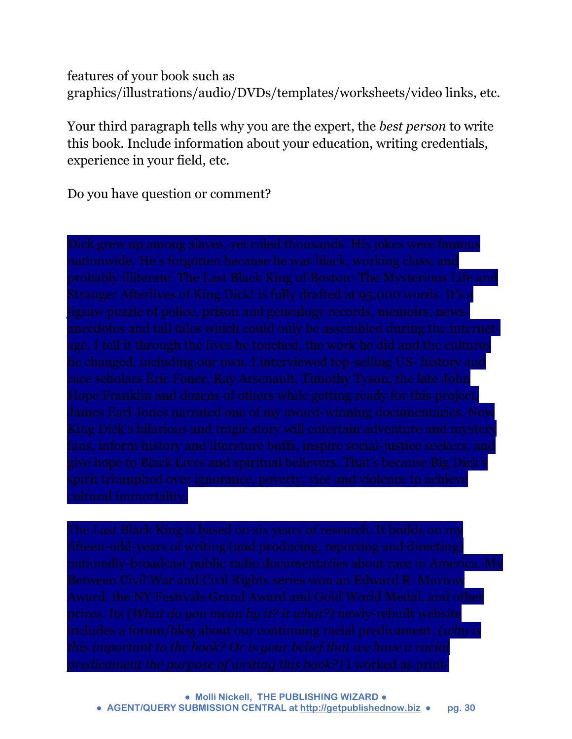features of your book such as graphics/illustrations/audio/DVDs/templates/worksheets/video links, etc.

Your third paragraph tells why you are the expert, the *best person* to write this book. Include information about your education, writing credentials, experience in your field, etc.

Do you have question or comment?

race scholars Eric Foner, Ray Arsenault, Timothy Tyson, the late John

prizes. Its *(What do you mean by it? it what?)* newly-rebuilt website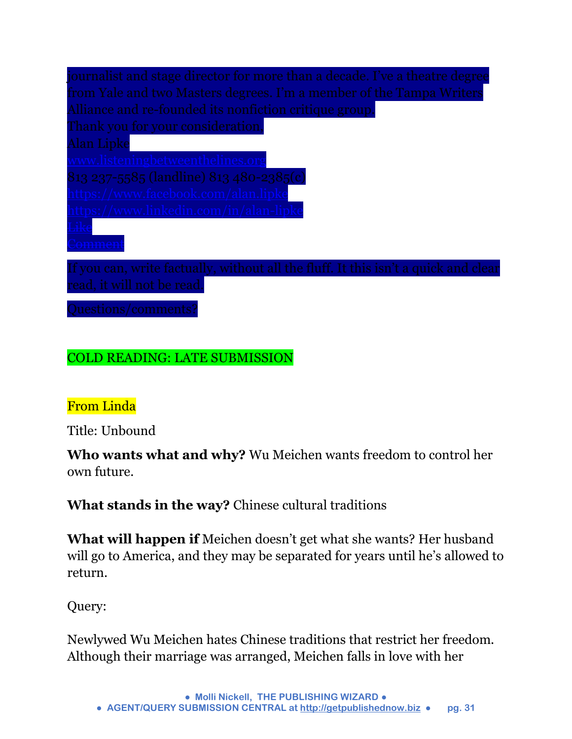| journalist and stage director for more than a decade. I've a theatre degree         |
|-------------------------------------------------------------------------------------|
| from Yale and two Masters degrees. I'm a member of the Tampa Writers                |
| Alliance and re-founded its nonfiction critique group.                              |
| Thank you for your consideration,                                                   |
| Alan Lipke                                                                          |
| <u>www.listeningbetweenthelines.org</u>                                             |
| 813 237-5585 (landline) 813 480-2385(c)                                             |
| https://www.facebook.com/alan.lipke                                                 |
| https://www.linkedin.com/in/alan-lipke                                              |
|                                                                                     |
|                                                                                     |
| If you can, write factually, without all the fluff. It this isn't a quick and clear |
| read, it will not be read.                                                          |
| $\Omega$ usationa (sommanta <sup>c</sup>                                            |

#### COLD READING: LATE SUBMISSION

#### From Linda

Title: Unbound

**Who wants what and why?** Wu Meichen wants freedom to control her own future.

**What stands in the way?** Chinese cultural traditions

**What will happen if** Meichen doesn't get what she wants? Her husband will go to America, and they may be separated for years until he's allowed to return.

Query:

Newlywed Wu Meichen hates Chinese traditions that restrict her freedom. Although their marriage was arranged, Meichen falls in love with her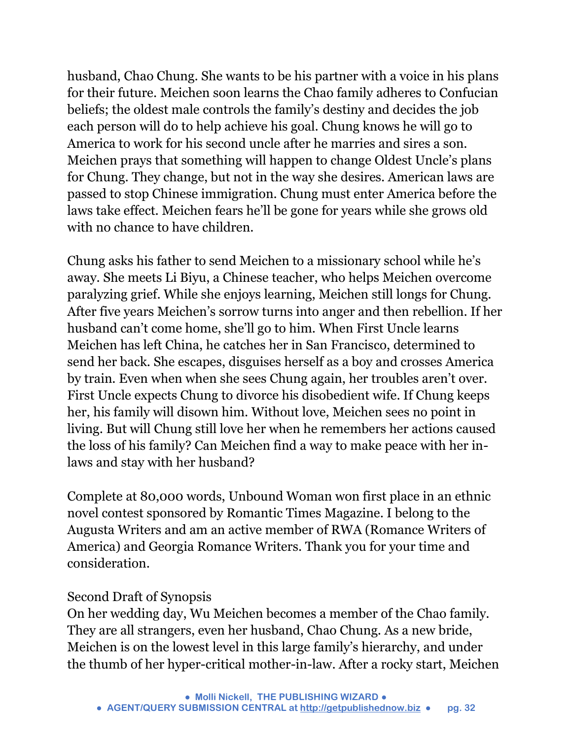husband, Chao Chung. She wants to be his partner with a voice in his plans for their future. Meichen soon learns the Chao family adheres to Confucian beliefs; the oldest male controls the family's destiny and decides the job each person will do to help achieve his goal. Chung knows he will go to America to work for his second uncle after he marries and sires a son. Meichen prays that something will happen to change Oldest Uncle's plans for Chung. They change, but not in the way she desires. American laws are passed to stop Chinese immigration. Chung must enter America before the laws take effect. Meichen fears he'll be gone for years while she grows old with no chance to have children.

Chung asks his father to send Meichen to a missionary school while he's away. She meets Li Biyu, a Chinese teacher, who helps Meichen overcome paralyzing grief. While she enjoys learning, Meichen still longs for Chung. After five years Meichen's sorrow turns into anger and then rebellion. If her husband can't come home, she'll go to him. When First Uncle learns Meichen has left China, he catches her in San Francisco, determined to send her back. She escapes, disguises herself as a boy and crosses America by train. Even when when she sees Chung again, her troubles aren't over. First Uncle expects Chung to divorce his disobedient wife. If Chung keeps her, his family will disown him. Without love, Meichen sees no point in living. But will Chung still love her when he remembers her actions caused the loss of his family? Can Meichen find a way to make peace with her inlaws and stay with her husband?

Complete at 80,000 words, Unbound Woman won first place in an ethnic novel contest sponsored by Romantic Times Magazine. I belong to the Augusta Writers and am an active member of RWA (Romance Writers of America) and Georgia Romance Writers. Thank you for your time and consideration.

#### Second Draft of Synopsis

On her wedding day, Wu Meichen becomes a member of the Chao family. They are all strangers, even her husband, Chao Chung. As a new bride, Meichen is on the lowest level in this large family's hierarchy, and under the thumb of her hyper-critical mother-in-law. After a rocky start, Meichen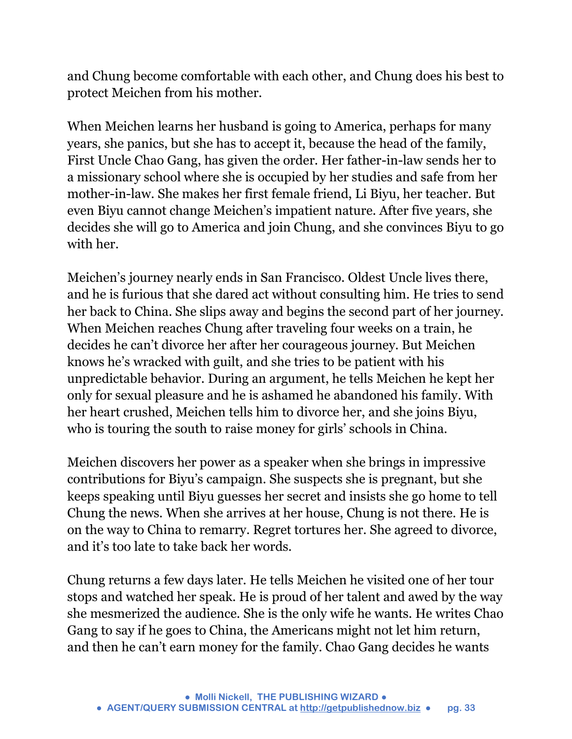and Chung become comfortable with each other, and Chung does his best to protect Meichen from his mother.

When Meichen learns her husband is going to America, perhaps for many years, she panics, but she has to accept it, because the head of the family, First Uncle Chao Gang, has given the order. Her father-in-law sends her to a missionary school where she is occupied by her studies and safe from her mother-in-law. She makes her first female friend, Li Biyu, her teacher. But even Biyu cannot change Meichen's impatient nature. After five years, she decides she will go to America and join Chung, and she convinces Biyu to go with her.

Meichen's journey nearly ends in San Francisco. Oldest Uncle lives there, and he is furious that she dared act without consulting him. He tries to send her back to China. She slips away and begins the second part of her journey. When Meichen reaches Chung after traveling four weeks on a train, he decides he can't divorce her after her courageous journey. But Meichen knows he's wracked with guilt, and she tries to be patient with his unpredictable behavior. During an argument, he tells Meichen he kept her only for sexual pleasure and he is ashamed he abandoned his family. With her heart crushed, Meichen tells him to divorce her, and she joins Biyu, who is touring the south to raise money for girls' schools in China.

Meichen discovers her power as a speaker when she brings in impressive contributions for Biyu's campaign. She suspects she is pregnant, but she keeps speaking until Biyu guesses her secret and insists she go home to tell Chung the news. When she arrives at her house, Chung is not there. He is on the way to China to remarry. Regret tortures her. She agreed to divorce, and it's too late to take back her words.

Chung returns a few days later. He tells Meichen he visited one of her tour stops and watched her speak. He is proud of her talent and awed by the way she mesmerized the audience. She is the only wife he wants. He writes Chao Gang to say if he goes to China, the Americans might not let him return, and then he can't earn money for the family. Chao Gang decides he wants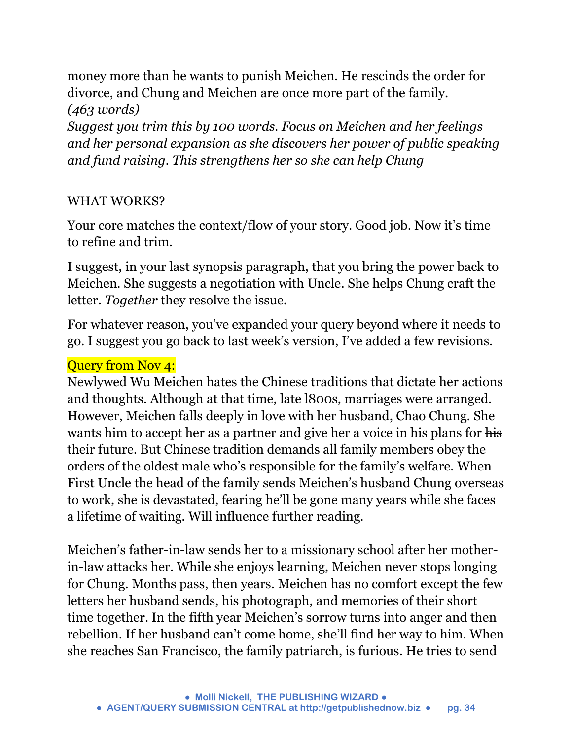money more than he wants to punish Meichen. He rescinds the order for divorce, and Chung and Meichen are once more part of the family. *(463 words)* 

*Suggest you trim this by 100 words. Focus on Meichen and her feelings and her personal expansion as she discovers her power of public speaking and fund raising. This strengthens her so she can help Chung* 

#### WHAT WORKS?

Your core matches the context/flow of your story. Good job. Now it's time to refine and trim.

I suggest, in your last synopsis paragraph, that you bring the power back to Meichen. She suggests a negotiation with Uncle. She helps Chung craft the letter. *Together* they resolve the issue.

For whatever reason, you've expanded your query beyond where it needs to go. I suggest you go back to last week's version, I've added a few revisions.

#### Query from Nov 4:

Newlywed Wu Meichen hates the Chinese traditions that dictate her actions and thoughts. Although at that time, late l800s, marriages were arranged. However, Meichen falls deeply in love with her husband, Chao Chung. She wants him to accept her as a partner and give her a voice in his plans for his their future. But Chinese tradition demands all family members obey the orders of the oldest male who's responsible for the family's welfare. When First Uncle the head of the family sends Meichen's husband Chung overseas to work, she is devastated, fearing he'll be gone many years while she faces a lifetime of waiting. Will influence further reading.

Meichen's father-in-law sends her to a missionary school after her motherin-law attacks her. While she enjoys learning, Meichen never stops longing for Chung. Months pass, then years. Meichen has no comfort except the few letters her husband sends, his photograph, and memories of their short time together. In the fifth year Meichen's sorrow turns into anger and then rebellion. If her husband can't come home, she'll find her way to him. When she reaches San Francisco, the family patriarch, is furious. He tries to send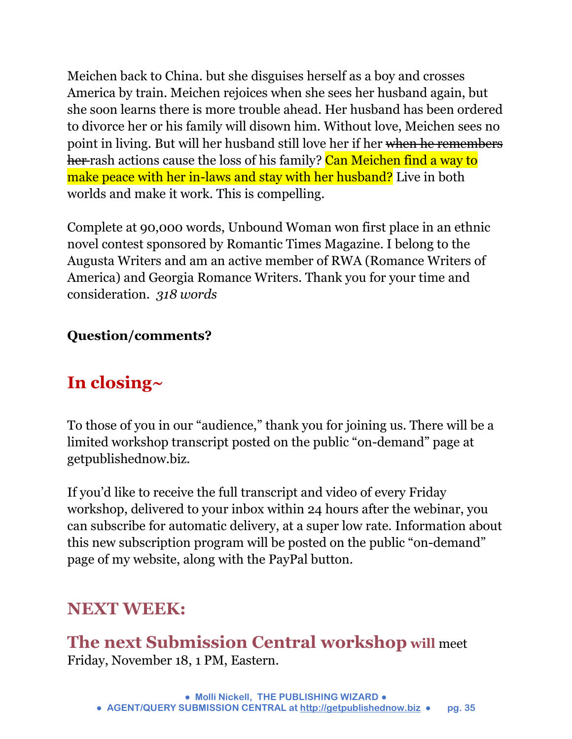Meichen back to China. but she disguises herself as a boy and crosses America by train. Meichen rejoices when she sees her husband again, but she soon learns there is more trouble ahead. Her husband has been ordered to divorce her or his family will disown him. Without love, Meichen sees no point in living. But will her husband still love her if her when he remembers her rash actions cause the loss of his family? Can Meichen find a way to make peace with her in-laws and stay with her husband? Live in both worlds and make it work. This is compelling.

Complete at 90,000 words, Unbound Woman won first place in an ethnic novel contest sponsored by Romantic Times Magazine. I belong to the Augusta Writers and am an active member of RWA (Romance Writers of America) and Georgia Romance Writers. Thank you for your time and consideration. *318 words*

#### **Question/comments?**

### **In closing~**

To those of you in our "audience," thank you for joining us. There will be a limited workshop transcript posted on the public "on-demand" page at getpublishednow.biz.

If you'd like to receive the full transcript and video of every Friday workshop, delivered to your inbox within 24 hours after the webinar, you can subscribe for automatic delivery, at a super low rate. Information about this new subscription program will be posted on the public "on-demand" page of my website, along with the PayPal button.

### **NEXT WEEK:**

**The next Submission Central workshop will** meet Friday, November 18, 1 PM, Eastern.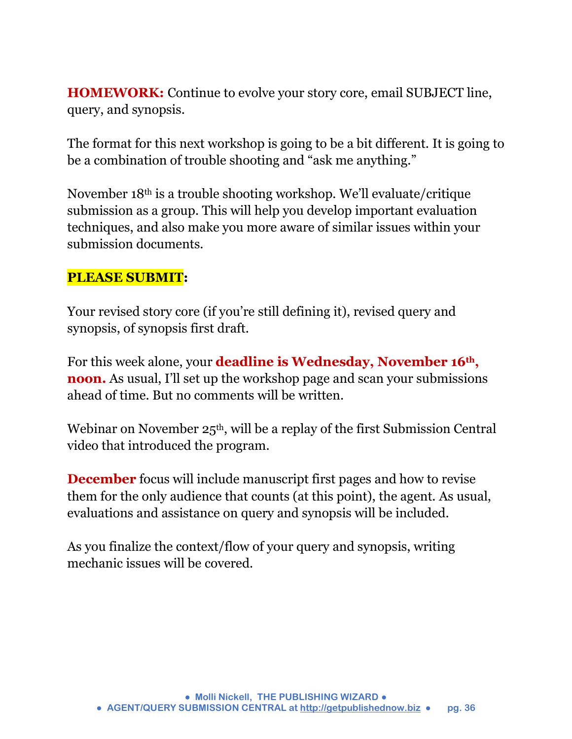**HOMEWORK:** Continue to evolve your story core, email SUBJECT line, query, and synopsis.

The format for this next workshop is going to be a bit different. It is going to be a combination of trouble shooting and "ask me anything."

November 18th is a trouble shooting workshop. We'll evaluate/critique submission as a group. This will help you develop important evaluation techniques, and also make you more aware of similar issues within your submission documents.

#### **PLEASE SUBMIT:**

Your revised story core (if you're still defining it), revised query and synopsis, of synopsis first draft.

For this week alone, your **deadline is Wednesday, November 16th , noon.** As usual, I'll set up the workshop page and scan your submissions ahead of time. But no comments will be written.

Webinar on November 25<sup>th</sup>, will be a replay of the first Submission Central video that introduced the program.

**December** focus will include manuscript first pages and how to revise them for the only audience that counts (at this point), the agent. As usual, evaluations and assistance on query and synopsis will be included.

As you finalize the context/flow of your query and synopsis, writing mechanic issues will be covered.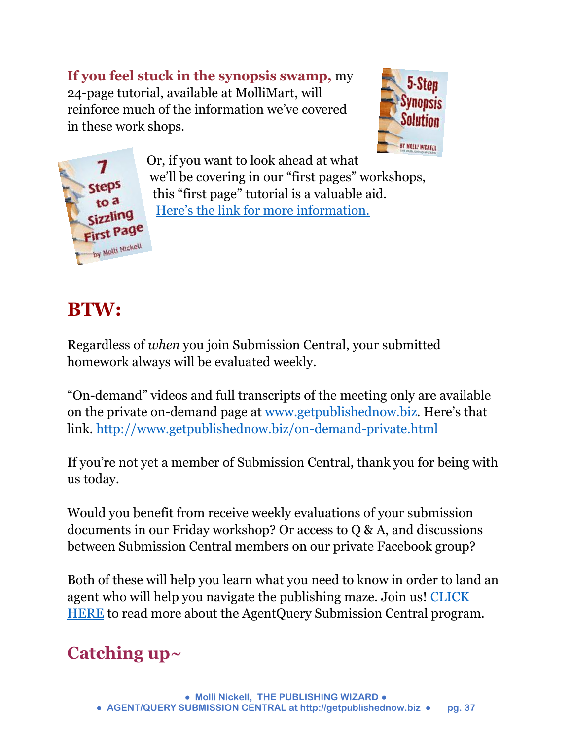**If you feel stuck in the synopsis swamp,** my 24-page tutorial, available at MolliMart, will reinforce much of the information we've covered in these work shops.





Or, if you want to look ahead at what we'll be covering in our "first pages" workshops, this "first page" tutorial is a valuable aid. [Here's the link for more informatio](http://www.getpublishednow.biz/mollimart.html)n.

### **BTW:**

Regardless of *when* you join Submission Central, your submitted homework always will be evaluated weekly.

"On-demand" videos and full transcripts of the meeting only are available on the private on-demand page at [www.getpublishednow.biz.](http://www.getpublishednow.biz/) Here's that link.<http://www.getpublishednow.biz/on-demand-private.html>

If you're not yet a member of Submission Central, thank you for being with us today.

Would you benefit from receive weekly evaluations of your submission documents in our Friday workshop? Or access to Q & A, and discussions between Submission Central members on our private Facebook group?

Both of these will help you learn what you need to know in order to land an agent who will help you navigate the publishing maze. Join us! [CLICK](http://www.getpublishednow.biz/agentquery-submission-central.html)  [HERE](http://www.getpublishednow.biz/agentquery-submission-central.html) to read more about the AgentQuery Submission Central program.

### **Catching up~**